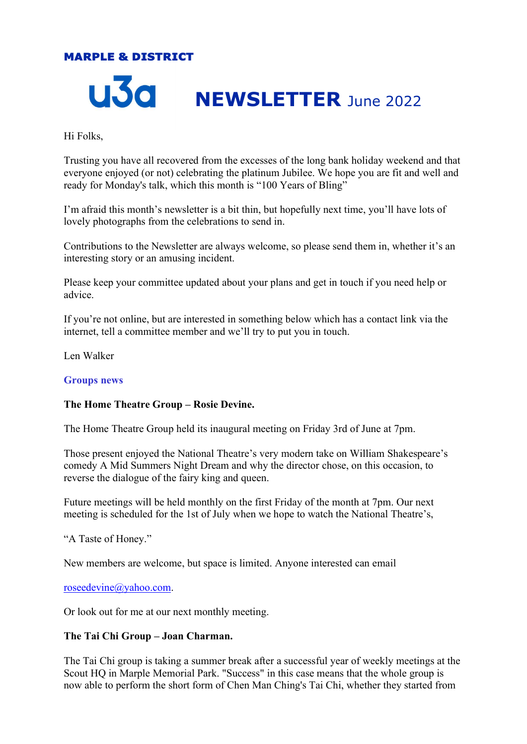# MARPLE & DISTRICT

# **U30** NEWSLETTER June 2022

#### Hi Folks,

Trusting you have all recovered from the excesses of the long bank holiday weekend and that everyone enjoyed (or not) celebrating the platinum Jubilee. We hope you are fit and well and ready for Monday's talk, which this month is "100 Years of Bling"

I'm afraid this month's newsletter is a bit thin, but hopefully next time, you'll have lots of lovely photographs from the celebrations to send in.

Contributions to the Newsletter are always welcome, so please send them in, whether it's an interesting story or an amusing incident.

Please keep your committee updated about your plans and get in touch if you need help or advice.

If you're not online, but are interested in something below which has a contact link via the internet, tell a committee member and we'll try to put you in touch.

Len Walker

#### Groups news

#### The Home Theatre Group – Rosie Devine.

The Home Theatre Group held its inaugural meeting on Friday 3rd of June at 7pm.

Those present enjoyed the National Theatre's very modern take on William Shakespeare's comedy A Mid Summers Night Dream and why the director chose, on this occasion, to reverse the dialogue of the fairy king and queen.

Future meetings will be held monthly on the first Friday of the month at 7pm. Our next meeting is scheduled for the 1st of July when we hope to watch the National Theatre's,

"A Taste of Honey."

New members are welcome, but space is limited. Anyone interested can email

roseedevine@yahoo.com.

Or look out for me at our next monthly meeting.

#### The Tai Chi Group – Joan Charman.

The Tai Chi group is taking a summer break after a successful year of weekly meetings at the Scout HQ in Marple Memorial Park. "Success" in this case means that the whole group is now able to perform the short form of Chen Man Ching's Tai Chi, whether they started from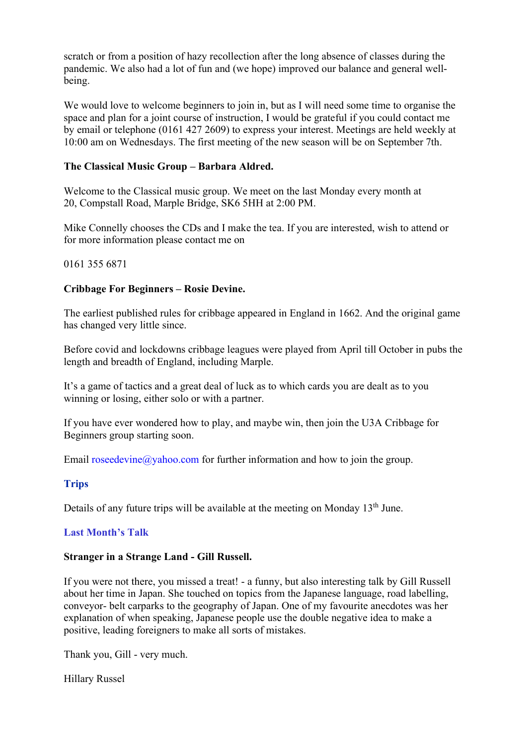scratch or from a position of hazy recollection after the long absence of classes during the pandemic. We also had a lot of fun and (we hope) improved our balance and general wellbeing.

We would love to welcome beginners to join in, but as I will need some time to organise the space and plan for a joint course of instruction, I would be grateful if you could contact me by email or telephone (0161 427 2609) to express your interest. Meetings are held weekly at 10:00 am on Wednesdays. The first meeting of the new season will be on September 7th.

## The Classical Music Group – Barbara Aldred.

Welcome to the Classical music group. We meet on the last Monday every month at 20, Compstall Road, Marple Bridge, SK6 5HH at 2:00 PM.

Mike Connelly chooses the CDs and I make the tea. If you are interested, wish to attend or for more information please contact me on

0161 355 6871

#### Cribbage For Beginners – Rosie Devine.

The earliest published rules for cribbage appeared in England in 1662. And the original game has changed very little since.

Before covid and lockdowns cribbage leagues were played from April till October in pubs the length and breadth of England, including Marple.

It's a game of tactics and a great deal of luck as to which cards you are dealt as to you winning or losing, either solo or with a partner.

If you have ever wondered how to play, and maybe win, then join the U3A Cribbage for Beginners group starting soon.

Email roseedevine@yahoo.com for further information and how to join the group.

# **Trips**

Details of any future trips will be available at the meeting on Monday  $13<sup>th</sup>$  June.

#### Last Month's Talk

#### Stranger in a Strange Land - Gill Russell.

If you were not there, you missed a treat! - a funny, but also interesting talk by Gill Russell about her time in Japan. She touched on topics from the Japanese language, road labelling, conveyor- belt carparks to the geography of Japan. One of my favourite anecdotes was her explanation of when speaking, Japanese people use the double negative idea to make a positive, leading foreigners to make all sorts of mistakes.

Thank you, Gill - very much.

Hillary Russel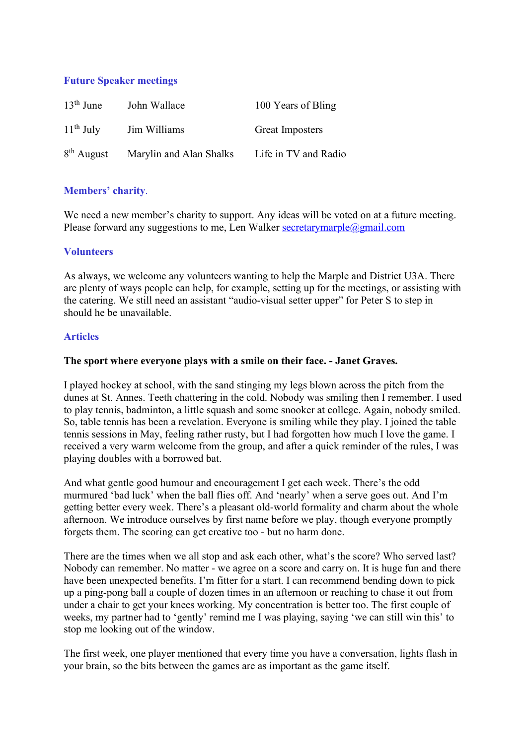# Future Speaker meetings

| $13th$ June  | John Wallace            | 100 Years of Bling   |
|--------------|-------------------------|----------------------|
| $11th$ July  | Jim Williams            | Great Imposters      |
| $8th$ August | Marylin and Alan Shalks | Life in TV and Radio |

# Members' charity.

We need a new member's charity to support. Any ideas will be voted on at a future meeting. Please forward any suggestions to me, Len Walker secretarymarple@gmail.com

## **Volunteers**

As always, we welcome any volunteers wanting to help the Marple and District U3A. There are plenty of ways people can help, for example, setting up for the meetings, or assisting with the catering. We still need an assistant "audio-visual setter upper" for Peter S to step in should he be unavailable.

## Articles

## The sport where everyone plays with a smile on their face. - Janet Graves.

I played hockey at school, with the sand stinging my legs blown across the pitch from the dunes at St. Annes. Teeth chattering in the cold. Nobody was smiling then I remember. I used to play tennis, badminton, a little squash and some snooker at college. Again, nobody smiled. So, table tennis has been a revelation. Everyone is smiling while they play. I joined the table tennis sessions in May, feeling rather rusty, but I had forgotten how much I love the game. I received a very warm welcome from the group, and after a quick reminder of the rules, I was playing doubles with a borrowed bat.

And what gentle good humour and encouragement I get each week. There's the odd murmured 'bad luck' when the ball flies off. And 'nearly' when a serve goes out. And I'm getting better every week. There's a pleasant old-world formality and charm about the whole afternoon. We introduce ourselves by first name before we play, though everyone promptly forgets them. The scoring can get creative too - but no harm done.

There are the times when we all stop and ask each other, what's the score? Who served last? Nobody can remember. No matter - we agree on a score and carry on. It is huge fun and there have been unexpected benefits. I'm fitter for a start. I can recommend bending down to pick up a ping-pong ball a couple of dozen times in an afternoon or reaching to chase it out from under a chair to get your knees working. My concentration is better too. The first couple of weeks, my partner had to 'gently' remind me I was playing, saying 'we can still win this' to stop me looking out of the window.

The first week, one player mentioned that every time you have a conversation, lights flash in your brain, so the bits between the games are as important as the game itself.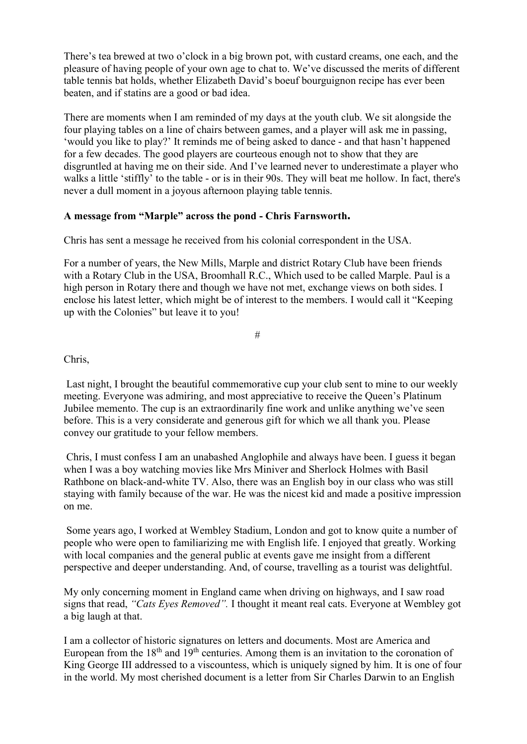There's tea brewed at two o'clock in a big brown pot, with custard creams, one each, and the pleasure of having people of your own age to chat to. We've discussed the merits of different table tennis bat holds, whether Elizabeth David's boeuf bourguignon recipe has ever been beaten, and if statins are a good or bad idea.

There are moments when I am reminded of my days at the youth club. We sit alongside the four playing tables on a line of chairs between games, and a player will ask me in passing, 'would you like to play?' It reminds me of being asked to dance - and that hasn't happened for a few decades. The good players are courteous enough not to show that they are disgruntled at having me on their side. And I've learned never to underestimate a player who walks a little 'stiffly' to the table - or is in their 90s. They will beat me hollow. In fact, there's never a dull moment in a joyous afternoon playing table tennis.

# A message from "Marple" across the pond - Chris Farnsworth.

Chris has sent a message he received from his colonial correspondent in the USA.

For a number of years, the New Mills, Marple and district Rotary Club have been friends with a Rotary Club in the USA, Broomhall R.C., Which used to be called Marple. Paul is a high person in Rotary there and though we have not met, exchange views on both sides. I enclose his latest letter, which might be of interest to the members. I would call it "Keeping up with the Colonies" but leave it to you!

 $#$ 

Chris,

 Last night, I brought the beautiful commemorative cup your club sent to mine to our weekly meeting. Everyone was admiring, and most appreciative to receive the Queen's Platinum Jubilee memento. The cup is an extraordinarily fine work and unlike anything we've seen before. This is a very considerate and generous gift for which we all thank you. Please convey our gratitude to your fellow members.

 Chris, I must confess I am an unabashed Anglophile and always have been. I guess it began when I was a boy watching movies like Mrs Miniver and Sherlock Holmes with Basil Rathbone on black-and-white TV. Also, there was an English boy in our class who was still staying with family because of the war. He was the nicest kid and made a positive impression on me.

 Some years ago, I worked at Wembley Stadium, London and got to know quite a number of people who were open to familiarizing me with English life. I enjoyed that greatly. Working with local companies and the general public at events gave me insight from a different perspective and deeper understanding. And, of course, travelling as a tourist was delightful.

My only concerning moment in England came when driving on highways, and I saw road signs that read, "Cats Eyes Removed". I thought it meant real cats. Everyone at Wembley got a big laugh at that.

I am a collector of historic signatures on letters and documents. Most are America and European from the  $18<sup>th</sup>$  and  $19<sup>th</sup>$  centuries. Among them is an invitation to the coronation of King George III addressed to a viscountess, which is uniquely signed by him. It is one of four in the world. My most cherished document is a letter from Sir Charles Darwin to an English